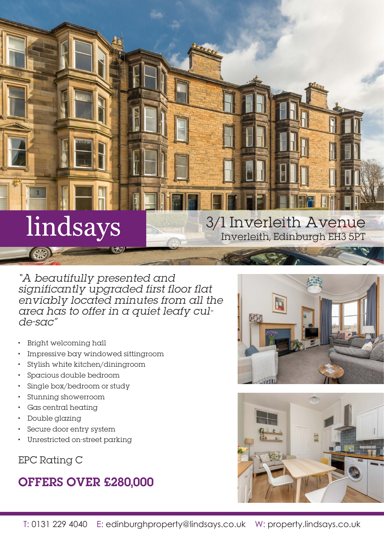# lindsays

"A beautifully presented and significantly upgraded first floor flat enviably located minutes from all the area has to offer in a quiet leafy culde-sac"

- Bright welcoming hall
- Impressive bay windowed sittingroom
- Stylish white kitchen/diningroom
- Spacious double bedroom
- Single box/bedroom or study
- Stunning showerroom
- Gas central heating
- Double glazing
- Secure door entry system
- Unrestricted on-street parking

EPC Rating C

## OFFERS OVER £280,000



3/1 Inverleith Avenue

Inverleith, Edinburgh EH3 5PT